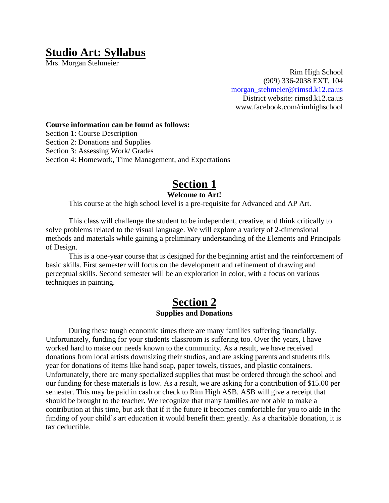## **Studio Art: Syllabus**

Mrs. Morgan Stehmeier

Rim High School (909) 336-2038 EXT. 104 [morgan\\_stehmeier@rimsd.k12.ca.us](mailto:morgan_stehmeier@rimsd.k12.ca.us) District website: rimsd.k12.ca.us www.facebook.com/rimhighschool

**Course information can be found as follows:**

Section 1: Course Description

Section 2: Donations and Supplies

Section 3: Assessing Work/ Grades

Section 4: Homework, Time Management, and Expectations

# **Section 1**

#### **Welcome to Art!**

This course at the high school level is a pre-requisite for Advanced and AP Art.

This class will challenge the student to be independent, creative, and think critically to solve problems related to the visual language. We will explore a variety of 2-dimensional methods and materials while gaining a preliminary understanding of the Elements and Principals of Design.

This is a one-year course that is designed for the beginning artist and the reinforcement of basic skills. First semester will focus on the development and refinement of drawing and perceptual skills. Second semester will be an exploration in color, with a focus on various techniques in painting.

### **Section 2 Supplies and Donations**

During these tough economic times there are many families suffering financially. Unfortunately, funding for your students classroom is suffering too. Over the years, I have worked hard to make our needs known to the community. As a result, we have received donations from local artists downsizing their studios, and are asking parents and students this year for donations of items like hand soap, paper towels, tissues, and plastic containers. Unfortunately, there are many specialized supplies that must be ordered through the school and our funding for these materials is low. As a result, we are asking for a contribution of \$15.00 per semester. This may be paid in cash or check to Rim High ASB. ASB will give a receipt that should be brought to the teacher. We recognize that many families are not able to make a contribution at this time, but ask that if it the future it becomes comfortable for you to aide in the funding of your child's art education it would benefit them greatly. As a charitable donation, it is tax deductible.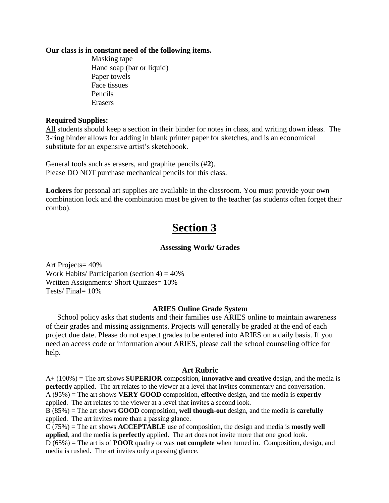#### **Our class is in constant need of the following items.**

Masking tape Hand soap (bar or liquid) Paper towels Face tissues Pencils Erasers

#### **Required Supplies:**

All students should keep a section in their binder for notes in class, and writing down ideas. The 3-ring binder allows for adding in blank printer paper for sketches, and is an economical substitute for an expensive artist's sketchbook.

General tools such as erasers, and graphite pencils (#**2**). Please DO NOT purchase mechanical pencils for this class.

**Lockers** for personal art supplies are available in the classroom. You must provide your own combination lock and the combination must be given to the teacher (as students often forget their combo).

# **Section 3**

#### **Assessing Work/ Grades**

Art Projects= 40% Work Habits/ Participation (section  $4$ ) =  $40\%$ Written Assignments/ Short Quizzes= 10% Tests/ Final= 10%

#### **ARIES Online Grade System**

School policy asks that students and their families use ARIES online to maintain awareness of their grades and missing assignments. Projects will generally be graded at the end of each project due date. Please do not expect grades to be entered into ARIES on a daily basis. If you need an access code or information about ARIES, please call the school counseling office for help.

#### **Art Rubric**

A+ (100%) = The art shows **SUPERIOR** composition, **innovative and creative** design, and the media is **perfectly** applied. The art relates to the viewer at a level that invites commentary and conversation. A (95%) = The art shows **VERY GOOD** composition, **effective** design, and the media is **expertly** applied. The art relates to the viewer at a level that invites a second look.

B (85%) = The art shows **GOOD** composition, **well though-out** design, and the media is **carefully** applied. The art invites more than a passing glance.

C (75%) = The art shows **ACCEPTABLE** use of composition, the design and media is **mostly well applied**, and the media is **perfectly** applied. The art does not invite more that one good look.

D (65%) = The art is of **POOR** quality or was **not complete** when turned in. Composition, design, and media is rushed. The art invites only a passing glance.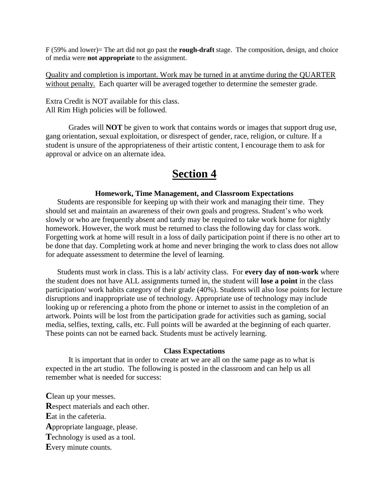F (59% and lower)= The art did not go past the **rough-draft** stage. The composition, design, and choice of media were **not appropriate** to the assignment.

Quality and completion is important. Work may be turned in at anytime during the QUARTER without penalty. Each quarter will be averaged together to determine the semester grade.

Extra Credit is NOT available for this class. All Rim High policies will be followed.

Grades will **NOT** be given to work that contains words or images that support drug use, gang orientation, sexual exploitation, or disrespect of gender, race, religion, or culture. If a student is unsure of the appropriateness of their artistic content, I encourage them to ask for approval or advice on an alternate idea.

## **Section 4**

#### **Homework, Time Management, and Classroom Expectations**

Students are responsible for keeping up with their work and managing their time. They should set and maintain an awareness of their own goals and progress. Student's who work slowly or who are frequently absent and tardy may be required to take work home for nightly homework. However, the work must be returned to class the following day for class work. Forgetting work at home will result in a loss of daily participation point if there is no other art to be done that day. Completing work at home and never bringing the work to class does not allow for adequate assessment to determine the level of learning.

Students must work in class. This is a lab/ activity class. For **every day of non-work** where the student does not have ALL assignments turned in, the student will **lose a point** in the class participation/ work habits category of their grade (40%). Students will also lose points for lecture disruptions and inappropriate use of technology. Appropriate use of technology may include looking up or referencing a photo from the phone or internet to assist in the completion of an artwork. Points will be lost from the participation grade for activities such as gaming, social media, selfies, texting, calls, etc. Full points will be awarded at the beginning of each quarter. These points can not be earned back. Students must be actively learning.

#### **Class Expectations**

It is important that in order to create art we are all on the same page as to what is expected in the art studio. The following is posted in the classroom and can help us all remember what is needed for success:

**C**lean up your messes. **R**espect materials and each other. **E**at in the cafeteria. **A**ppropriate language, please. **T**echnology is used as a tool. **E**very minute counts.